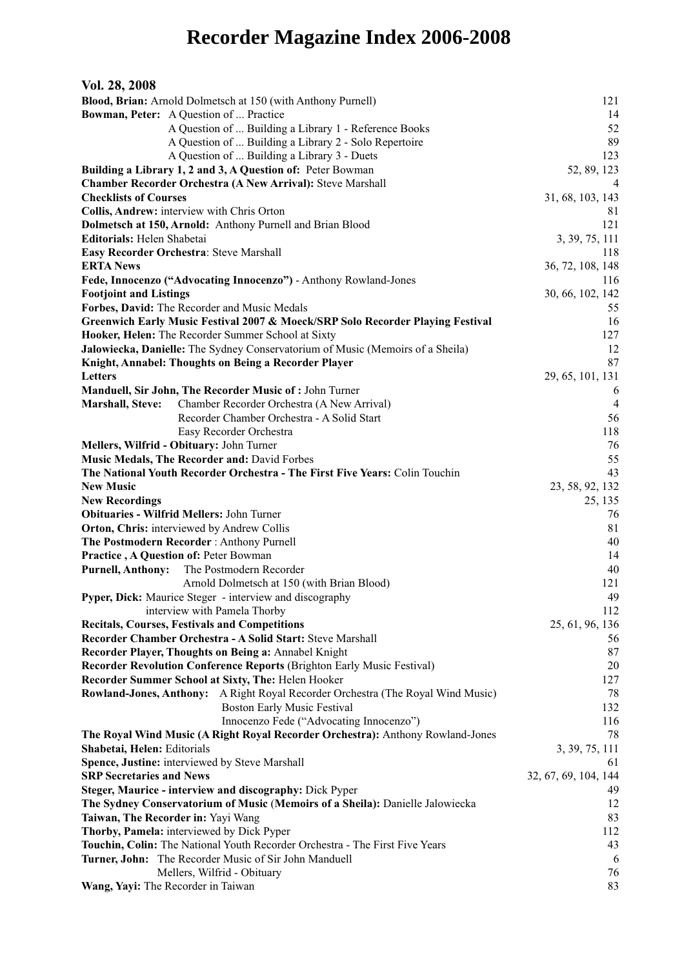## **Recorder Magazine Index 2006-2008**

| Vol. 28, 2008                                                                  |                                                                                        |                      |
|--------------------------------------------------------------------------------|----------------------------------------------------------------------------------------|----------------------|
| Blood, Brian: Arnold Dolmetsch at 150 (with Anthony Purnell)                   | 121                                                                                    |                      |
|                                                                                | Bowman, Peter: A Question of  Practice                                                 | 14                   |
|                                                                                | A Question of  Building a Library 1 - Reference Books                                  | 52                   |
|                                                                                | A Question of  Building a Library 2 - Solo Repertoire                                  | 89                   |
|                                                                                | A Question of  Building a Library 3 - Duets                                            | 123                  |
|                                                                                | Building a Library 1, 2 and 3, A Question of: Peter Bowman                             | 52, 89, 123          |
|                                                                                | Chamber Recorder Orchestra (A New Arrival): Steve Marshall                             | $\overline{4}$       |
| <b>Checklists of Courses</b>                                                   |                                                                                        | 31, 68, 103, 143     |
|                                                                                | Collis, Andrew: interview with Chris Orton                                             | 81                   |
|                                                                                | Dolmetsch at 150, Arnold: Anthony Purnell and Brian Blood                              | 121                  |
| Editorials: Helen Shabetai                                                     |                                                                                        | 3, 39, 75, 111       |
| Easy Recorder Orchestra: Steve Marshall                                        |                                                                                        | 118                  |
| <b>ERTA News</b>                                                               |                                                                                        | 36, 72, 108, 148     |
|                                                                                | Fede, Innocenzo ("Advocating Innocenzo") - Anthony Rowland-Jones                       | 116                  |
| <b>Footjoint and Listings</b>                                                  |                                                                                        | 30, 66, 102, 142     |
|                                                                                | Forbes, David: The Recorder and Music Medals                                           | 55                   |
|                                                                                | Greenwich Early Music Festival 2007 & Moeck/SRP Solo Recorder Playing Festival         | 16                   |
|                                                                                | Hooker, Helen: The Recorder Summer School at Sixty                                     | 127                  |
|                                                                                | Jalowiecka, Danielle: The Sydney Conservatorium of Music (Memoirs of a Sheila)         | 12                   |
|                                                                                | Knight, Annabel: Thoughts on Being a Recorder Player                                   | 87                   |
| <b>Letters</b>                                                                 |                                                                                        | 29, 65, 101, 131     |
|                                                                                | Manduell, Sir John, The Recorder Music of : John Turner                                | 6                    |
| <b>Marshall</b> , Steve:                                                       | Chamber Recorder Orchestra (A New Arrival)                                             | $\overline{4}$       |
|                                                                                | Recorder Chamber Orchestra - A Solid Start                                             | 56                   |
|                                                                                | Easy Recorder Orchestra                                                                | 118                  |
| Mellers, Wilfrid - Obituary: John Turner                                       |                                                                                        | 76                   |
|                                                                                | Music Medals, The Recorder and: David Forbes                                           | 55                   |
|                                                                                | The National Youth Recorder Orchestra - The First Five Years: Colin Touchin            | 43                   |
| <b>New Music</b>                                                               |                                                                                        | 23, 58, 92, 132      |
| <b>New Recordings</b><br><b>Obituaries - Wilfrid Mellers: John Turner</b>      |                                                                                        | 25, 135              |
|                                                                                |                                                                                        | 76                   |
|                                                                                | Orton, Chris: interviewed by Andrew Collis                                             | 81                   |
|                                                                                | The Postmodern Recorder: Anthony Purnell                                               | 40                   |
|                                                                                | Practice, A Question of: Peter Bowman<br>The Postmodern Recorder                       | 14                   |
| <b>Purnell, Anthony:</b>                                                       | Arnold Dolmetsch at 150 (with Brian Blood)                                             | 40<br>121            |
|                                                                                | Pyper, Dick: Maurice Steger - interview and discography                                | 49                   |
|                                                                                | interview with Pamela Thorby                                                           | 112                  |
|                                                                                | <b>Recitals, Courses, Festivals and Competitions</b>                                   | 25, 61, 96, 136      |
|                                                                                | Recorder Chamber Orchestra - A Solid Start: Steve Marshall                             | 56                   |
|                                                                                | Recorder Player, Thoughts on Being a: Annabel Knight                                   | 87                   |
|                                                                                | Recorder Revolution Conference Reports (Brighton Early Music Festival)                 | 20                   |
|                                                                                | Recorder Summer School at Sixty, The: Helen Hooker                                     | 127                  |
|                                                                                | <b>Rowland-Jones, Anthony:</b> A Right Royal Recorder Orchestra (The Royal Wind Music) | 78                   |
|                                                                                | <b>Boston Early Music Festival</b>                                                     | 132                  |
|                                                                                | Innocenzo Fede ("Advocating Innocenzo")                                                | 116                  |
| The Royal Wind Music (A Right Royal Recorder Orchestra): Anthony Rowland-Jones |                                                                                        | 78                   |
| Shabetai, Helen: Editorials                                                    |                                                                                        | 3, 39, 75, 111       |
|                                                                                | Spence, Justine: interviewed by Steve Marshall                                         | 61                   |
| <b>SRP Secretaries and News</b>                                                |                                                                                        | 32, 67, 69, 104, 144 |
|                                                                                | Steger, Maurice - interview and discography: Dick Pyper                                | 49                   |
| The Sydney Conservatorium of Music (Memoirs of a Sheila): Danielle Jalowiecka  | 12                                                                                     |                      |
| Taiwan, The Recorder in: Yayi Wang                                             | 83                                                                                     |                      |
| Thorby, Pamela: interviewed by Dick Pyper                                      | 112                                                                                    |                      |
| Touchin, Colin: The National Youth Recorder Orchestra - The First Five Years   | 43                                                                                     |                      |
| Turner, John: The Recorder Music of Sir John Manduell                          |                                                                                        | 6                    |
| Mellers, Wilfrid - Obituary                                                    |                                                                                        | 76                   |
| Wang, Yayi: The Recorder in Taiwan                                             |                                                                                        | 83                   |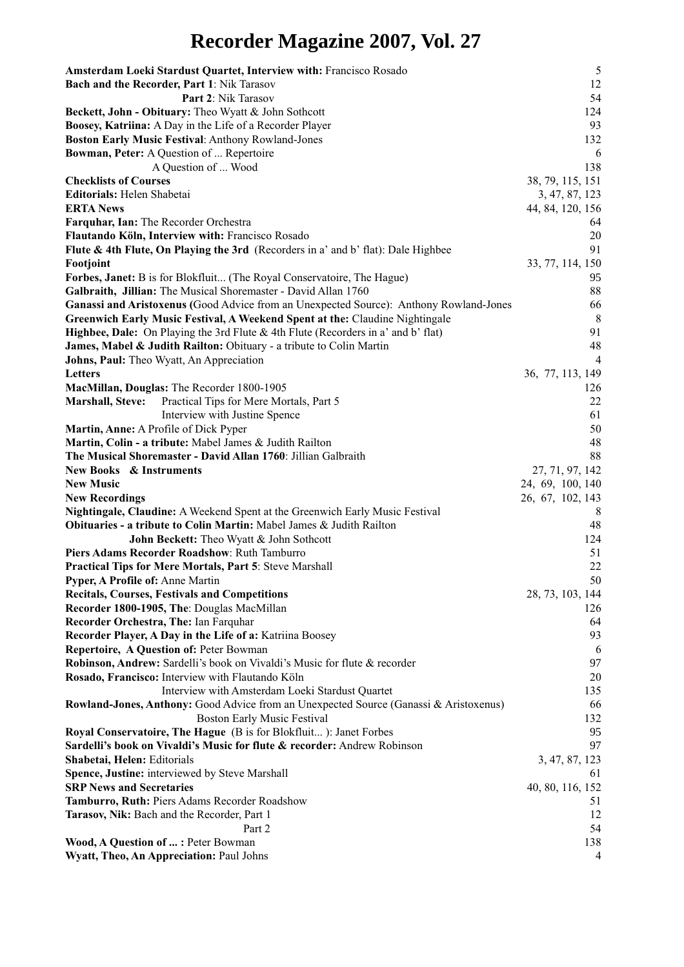## **Recorder Magazine 2007, Vol. 27**

| Amsterdam Loeki Stardust Quartet, Interview with: Francisco Rosado                                                                       | $\mathfrak{S}$         |
|------------------------------------------------------------------------------------------------------------------------------------------|------------------------|
| Bach and the Recorder, Part 1: Nik Tarasov                                                                                               | 12                     |
| Part 2: Nik Tarasov                                                                                                                      | 54                     |
| Beckett, John - Obituary: Theo Wyatt & John Sothcott                                                                                     | 124                    |
| Boosey, Katriina: A Day in the Life of a Recorder Player                                                                                 | 93                     |
| <b>Boston Early Music Festival: Anthony Rowland-Jones</b>                                                                                | 132                    |
| Bowman, Peter: A Question of  Repertoire                                                                                                 | 6                      |
| A Question of  Wood                                                                                                                      | 138                    |
| <b>Checklists of Courses</b>                                                                                                             | 38, 79, 115, 151       |
| Editorials: Helen Shabetai                                                                                                               | 3, 47, 87, 123         |
| <b>ERTA News</b>                                                                                                                         | 44, 84, 120, 156       |
| Farquhar, Ian: The Recorder Orchestra                                                                                                    | 64                     |
| Flautando Köln, Interview with: Francisco Rosado                                                                                         | 20                     |
| Flute & 4th Flute, On Playing the 3rd (Recorders in a' and b' flat): Dale Highbee                                                        | 91                     |
| Footjoint                                                                                                                                | 33, 77, 114, 150<br>95 |
| Forbes, Janet: B is for Blokfluit (The Royal Conservatoire, The Hague)<br>Galbraith, Jillian: The Musical Shoremaster - David Allan 1760 | 88                     |
| Ganassi and Aristoxenus (Good Advice from an Unexpected Source): Anthony Rowland-Jones                                                   | 66                     |
| Greenwich Early Music Festival, A Weekend Spent at the: Claudine Nightingale                                                             | 8                      |
| Highbee, Dale: On Playing the 3rd Flute & 4th Flute (Recorders in a' and b' flat)                                                        | 91                     |
| James, Mabel & Judith Railton: Obituary - a tribute to Colin Martin                                                                      | 48                     |
| Johns, Paul: Theo Wyatt, An Appreciation                                                                                                 | $\overline{4}$         |
| <b>Letters</b>                                                                                                                           | 36, 77, 113, 149       |
| MacMillan, Douglas: The Recorder 1800-1905                                                                                               | 126                    |
| <b>Marshall, Steve:</b><br>Practical Tips for Mere Mortals, Part 5                                                                       | 22                     |
| Interview with Justine Spence                                                                                                            | 61                     |
| Martin, Anne: A Profile of Dick Pyper                                                                                                    | 50                     |
| Martin, Colin - a tribute: Mabel James & Judith Railton                                                                                  | 48                     |
| The Musical Shoremaster - David Allan 1760: Jillian Galbraith                                                                            | 88                     |
| <b>New Books &amp; Instruments</b>                                                                                                       | 27, 71, 97, 142        |
| <b>New Music</b>                                                                                                                         | 24, 69, 100, 140       |
| <b>New Recordings</b>                                                                                                                    | 26, 67, 102, 143       |
| Nightingale, Claudine: A Weekend Spent at the Greenwich Early Music Festival                                                             | 8                      |
| Obituaries - a tribute to Colin Martin: Mabel James & Judith Railton                                                                     | 48                     |
| John Beckett: Theo Wyatt & John Sothcott                                                                                                 | 124                    |
| Piers Adams Recorder Roadshow: Ruth Tamburro                                                                                             | 51                     |
| Practical Tips for Mere Mortals, Part 5: Steve Marshall                                                                                  | 22                     |
| Pyper, A Profile of: Anne Martin                                                                                                         | 50                     |
| <b>Recitals, Courses, Festivals and Competitions</b>                                                                                     | 28, 73, 103, 144       |
| Recorder 1800-1905, The: Douglas MacMillan                                                                                               | 126                    |
| Recorder Orchestra, The: Ian Farquhar                                                                                                    | 64                     |
| Recorder Player, A Day in the Life of a: Katriina Boosey                                                                                 | 93                     |
| <b>Repertoire, A Question of: Peter Bowman</b>                                                                                           | 6                      |
| Robinson, Andrew: Sardelli's book on Vivaldi's Music for flute & recorder                                                                | 97                     |
| Rosado, Francisco: Interview with Flautando Köln                                                                                         | 20                     |
| Interview with Amsterdam Loeki Stardust Quartet                                                                                          | 135                    |
| Rowland-Jones, Anthony: Good Advice from an Unexpected Source (Ganassi & Aristoxenus)                                                    | 66                     |
| <b>Boston Early Music Festival</b>                                                                                                       | 132                    |
| Royal Conservatoire, The Hague (B is for Blokfluit): Janet Forbes                                                                        | 95<br>97               |
| Sardelli's book on Vivaldi's Music for flute & recorder: Andrew Robinson                                                                 |                        |
| Shabetai, Helen: Editorials<br>Spence, Justine: interviewed by Steve Marshall                                                            | 3, 47, 87, 123<br>61   |
| <b>SRP News and Secretaries</b>                                                                                                          | 40, 80, 116, 152       |
| Tamburro, Ruth: Piers Adams Recorder Roadshow                                                                                            | 51                     |
| Tarasov, Nik: Bach and the Recorder, Part 1                                                                                              | 12                     |
| Part 2                                                                                                                                   | 54                     |
| Wood, A Question of  : Peter Bowman                                                                                                      | 138                    |
| Wyatt, Theo, An Appreciation: Paul Johns                                                                                                 | 4                      |
|                                                                                                                                          |                        |